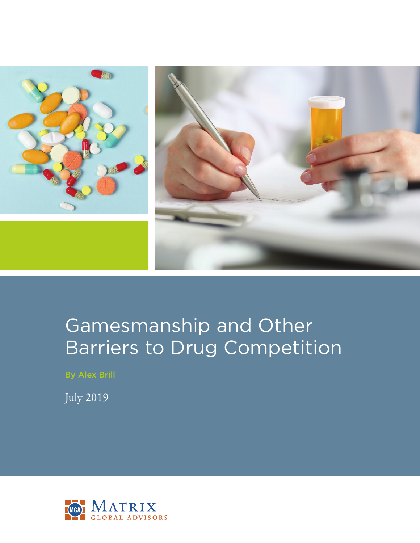

# Gamesmanship and Other Barriers to Drug Competition

By Alex Brill

July 2019

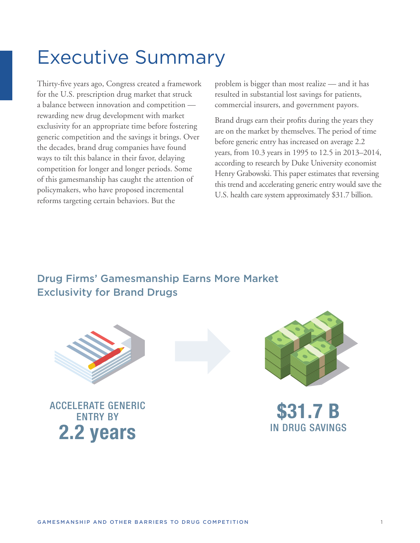# Executive Summary

Thirty-five years ago, Congress created a framework for the U.S. prescription drug market that struck a balance between innovation and competition rewarding new drug development with market exclusivity for an appropriate time before fostering generic competition and the savings it brings. Over the decades, brand drug companies have found ways to tilt this balance in their favor, delaying competition for longer and longer periods. Some of this gamesmanship has caught the attention of policymakers, who have proposed incremental reforms targeting certain behaviors. But the

problem is bigger than most realize — and it has resulted in substantial lost savings for patients, commercial insurers, and government payors.

Brand drugs earn their profits during the years they are on the market by themselves. The period of time before generic entry has increased on average 2.2 years, from 10.3 years in 1995 to 12.5 in 2013–2014, according to research by Duke University economist Henry Grabowski. This paper estimates that reversing this trend and accelerating generic entry would save the U.S. health care system approximately \$31.7 billion.

# Drug Firms' Gamesmanship Earns More Market Exclusivity for Brand Drugs



ACCELERATE GENERIC ENTRY BY **2.2 years**



**\$31.7 B** IN DRUG SAVINGS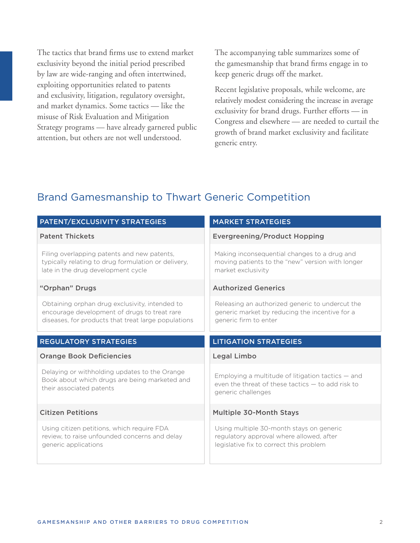The tactics that brand firms use to extend market exclusivity beyond the initial period prescribed by law are wide-ranging and often intertwined, exploiting opportunities related to patents and exclusivity, litigation, regulatory oversight, and market dynamics. Some tactics — like the misuse of Risk Evaluation and Mitigation Strategy programs — have already garnered public attention, but others are not well understood.

The accompanying table summarizes some of the gamesmanship that brand firms engage in to keep generic drugs off the market.

Recent legislative proposals, while welcome, are relatively modest considering the increase in average exclusivity for brand drugs. Further efforts — in Congress and elsewhere — are needed to curtail the growth of brand market exclusivity and facilitate generic entry.

# Brand Gamesmanship to Thwart Generic Competition

| PATENT/EXCLUSIVITY STRATEGIES                                                                                                                         | <b>MARKET STRATEGIES</b>                                                                                                         |
|-------------------------------------------------------------------------------------------------------------------------------------------------------|----------------------------------------------------------------------------------------------------------------------------------|
| <b>Patent Thickets</b>                                                                                                                                | <b>Evergreening/Product Hopping</b>                                                                                              |
| Filing overlapping patents and new patents,<br>typically relating to drug formulation or delivery,<br>late in the drug development cycle              | Making inconsequential changes to a drug and<br>moving patients to the "new" version with longer<br>market exclusivity           |
| "Orphan" Drugs                                                                                                                                        | <b>Authorized Generics</b>                                                                                                       |
| Obtaining orphan drug exclusivity, intended to<br>encourage development of drugs to treat rare<br>diseases, for products that treat large populations | Releasing an authorized generic to undercut the<br>generic market by reducing the incentive for a<br>generic firm to enter       |
| <b>REGULATORY STRATEGIES</b>                                                                                                                          | <b>LITIGATION STRATEGIES</b>                                                                                                     |
|                                                                                                                                                       |                                                                                                                                  |
| <b>Orange Book Deficiencies</b>                                                                                                                       | Legal Limbo                                                                                                                      |
| Delaying or withholding updates to the Orange<br>Book about which drugs are being marketed and<br>their associated patents                            | Employing a multitude of litigation tactics $-$ and<br>even the threat of these tactics $-$ to add risk to<br>generic challenges |
| <b>Citizen Petitions</b>                                                                                                                              | <b>Multiple 30-Month Stays</b>                                                                                                   |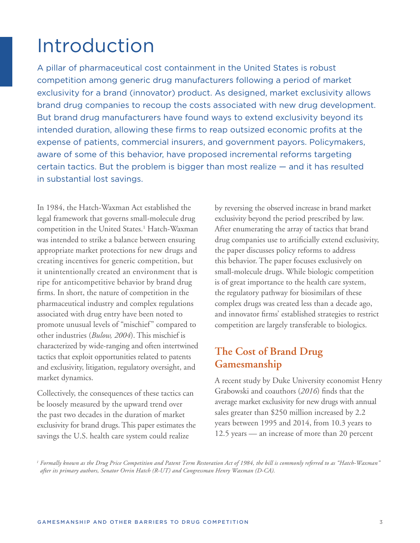# Introduction

A pillar of pharmaceutical cost containment in the United States is robust competition among generic drug manufacturers following a period of market exclusivity for a brand (innovator) product. As designed, market exclusivity allows brand drug companies to recoup the costs associated with new drug development. But brand drug manufacturers have found ways to extend exclusivity beyond its intended duration, allowing these firms to reap outsized economic profits at the expense of patients, commercial insurers, and government payors. Policymakers, aware of some of this behavior, have proposed incremental reforms targeting certain tactics. But the problem is bigger than most realize — and it has resulted in substantial lost savings.

In 1984, the Hatch-Waxman Act established the legal framework that governs small-molecule drug competition in the United States.<sup>1</sup> Hatch-Waxman was intended to strike a balance between ensuring appropriate market protections for new drugs and creating incentives for generic competition, but it unintentionally created an environment that is ripe for anticompetitive behavior by brand drug firms. In short, the nature of competition in the pharmaceutical industry and complex regulations associated with drug entry have been noted to promote unusual levels of "mischief" compared to other industries (*Bulow, 2004*). This mischief is characterized by wide-ranging and often intertwined tactics that exploit opportunities related to patents and exclusivity, litigation, regulatory oversight, and market dynamics.

Collectively, the consequences of these tactics can be loosely measured by the upward trend over the past two decades in the duration of market exclusivity for brand drugs. This paper estimates the savings the U.S. health care system could realize

by reversing the observed increase in brand market exclusivity beyond the period prescribed by law. After enumerating the array of tactics that brand drug companies use to artificially extend exclusivity, the paper discusses policy reforms to address this behavior. The paper focuses exclusively on small-molecule drugs. While biologic competition is of great importance to the health care system, the regulatory pathway for biosimilars of these complex drugs was created less than a decade ago, and innovator firms' established strategies to restrict competition are largely transferable to biologics.

## **The Cost of Brand Drug Gamesmanship**

A recent study by Duke University economist Henry Grabowski and coauthors (*2016*) finds that the average market exclusivity for new drugs with annual sales greater than \$250 million increased by 2.2 years between 1995 and 2014, from 10.3 years to 12.5 years — an increase of more than 20 percent

*<sup>1</sup> Formally known as the Drug Price Competition and Patent Term Restoration Act of 1984, the bill is commonly referred to as "Hatch-Waxman" after its primary authors, Senator Orrin Hatch (R-UT) and Congressman Henry Waxman (D-CA).*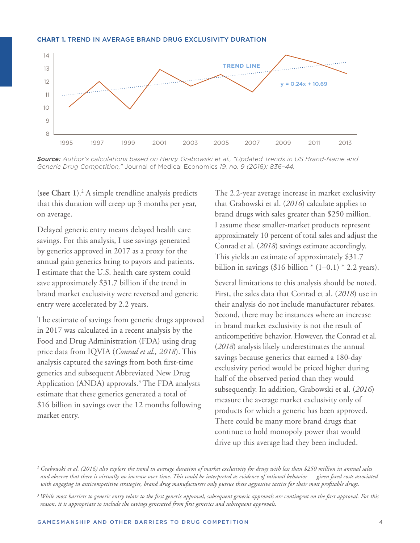#### **CHART 1.** TREND IN AVERAGE BRAND DRUG EXCLUSIVITY DURATION



*Source: Author's calculations based on Henry Grabowski et al., "Updated Trends in US Brand-Name and Generic Drug Competition,"* Journal of Medical Economics *19, no. 9 (2016): 836–44.*

(**see Chart 1**).2 A simple trendline analysis predicts that this duration will creep up 3 months per year, on average.

Delayed generic entry means delayed health care savings. For this analysis, I use savings generated by generics approved in 2017 as a proxy for the annual gain generics bring to payors and patients. I estimate that the U.S. health care system could save approximately \$31.7 billion if the trend in brand market exclusivity were reversed and generic entry were accelerated by 2.2 years.

The estimate of savings from generic drugs approved in 2017 was calculated in a recent analysis by the Food and Drug Administration (FDA) using drug price data from IQVIA (*Conrad et al., 2018*). This analysis captured the savings from both first-time generics and subsequent Abbreviated New Drug Application (ANDA) approvals.<sup>3</sup> The FDA analysts estimate that these generics generated a total of \$16 billion in savings over the 12 months following market entry.

The 2.2-year average increase in market exclusivity that Grabowski et al. (*2016*) calculate applies to brand drugs with sales greater than \$250 million. I assume these smaller-market products represent approximately 10 percent of total sales and adjust the Conrad et al. (*2018*) savings estimate accordingly. This yields an estimate of approximately \$31.7 billion in savings (\$16 billion  $*(1-0.1) * 2.2$  years).

Several limitations to this analysis should be noted. First, the sales data that Conrad et al. (*2018*) use in their analysis do not include manufacturer rebates. Second, there may be instances where an increase in brand market exclusivity is not the result of anticompetitive behavior. However, the Conrad et al. (*2018*) analysis likely underestimates the annual savings because generics that earned a 180-day exclusivity period would be priced higher during half of the observed period than they would subsequently. In addition, Grabowski et al. (*2016*) measure the average market exclusivity only of products for which a generic has been approved. There could be many more brand drugs that continue to hold monopoly power that would drive up this average had they been included.

*<sup>2</sup> Grabowski et al. (2016) also explore the trend in average duration of market exclusivity for drugs with less than \$250 million in annual sales and observe that there is virtually no increase over time. This could be interpreted as evidence of rational behavior — given fixed costs associated with engaging in anticompetitive strategies, brand drug manufacturers only pursue these aggressive tactics for their most profitable drugs.* 

*<sup>3</sup> While most barriers to generic entry relate to the first generic approval, subsequent generic approvals are contingent on the first approval. For this reason, it is appropriate to include the savings generated from first generics and subsequent approvals.*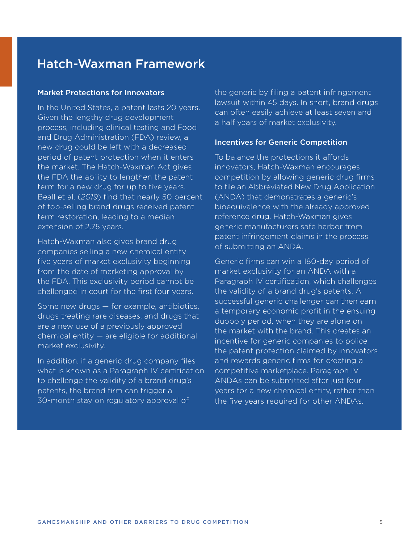# Hatch-Waxman Framework

#### Market Protections for Innovators

In the United States, a patent lasts 20 years. Given the lengthy drug development process, including clinical testing and Food and Drug Administration (FDA) review, a new drug could be left with a decreased period of patent protection when it enters the market. The Hatch-Waxman Act gives the FDA the ability to lengthen the patent term for a new drug for up to five years. Beall et al. (*2019*) find that nearly 50 percent of top-selling brand drugs received patent term restoration, leading to a median extension of 2.75 years.

Hatch-Waxman also gives brand drug companies selling a new chemical entity five years of market exclusivity beginning from the date of marketing approval by the FDA. This exclusivity period cannot be challenged in court for the first four years.

Some new drugs — for example, antibiotics, drugs treating rare diseases, and drugs that are a new use of a previously approved chemical entity — are eligible for additional market exclusivity.

In addition, if a generic drug company files what is known as a Paragraph IV certification to challenge the validity of a brand drug's patents, the brand firm can trigger a 30-month stay on regulatory approval of

the generic by filing a patent infringement lawsuit within 45 days. In short, brand drugs can often easily achieve at least seven and a half years of market exclusivity.

#### Incentives for Generic Competition

To balance the protections it affords innovators, Hatch-Waxman encourages competition by allowing generic drug firms to file an Abbreviated New Drug Application (ANDA) that demonstrates a generic's bioequivalence with the already approved reference drug. Hatch-Waxman gives generic manufacturers safe harbor from patent infringement claims in the process of submitting an ANDA.

Generic firms can win a 180-day period of market exclusivity for an ANDA with a Paragraph IV certification, which challenges the validity of a brand drug's patents. A successful generic challenger can then earn a temporary economic profit in the ensuing duopoly period, when they are alone on the market with the brand. This creates an incentive for generic companies to police the patent protection claimed by innovators and rewards generic firms for creating a competitive marketplace. Paragraph IV ANDAs can be submitted after just four years for a new chemical entity, rather than the five years required for other ANDAs.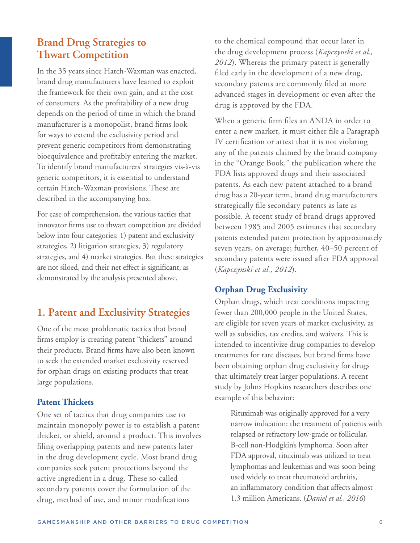# **Brand Drug Strategies to Thwart Competition**

In the 35 years since Hatch-Waxman was enacted, brand drug manufacturers have learned to exploit the framework for their own gain, and at the cost of consumers. As the profitability of a new drug depends on the period of time in which the brand manufacturer is a monopolist, brand firms look for ways to extend the exclusivity period and prevent generic competitors from demonstrating bioequivalence and profitably entering the market. To identify brand manufacturers' strategies vis-à-vis generic competitors, it is essential to understand certain Hatch-Waxman provisions. These are described in the accompanying box.

For ease of comprehension, the various tactics that innovator firms use to thwart competition are divided below into four categories: 1) patent and exclusivity strategies, 2) litigation strategies, 3) regulatory strategies, and 4) market strategies. But these strategies are not siloed, and their net effect is significant, as demonstrated by the analysis presented above.

## **1. Patent and Exclusivity Strategies**

One of the most problematic tactics that brand firms employ is creating patent "thickets" around their products. Brand firms have also been known to seek the extended market exclusivity reserved for orphan drugs on existing products that treat large populations.

## **Patent Thickets**

One set of tactics that drug companies use to maintain monopoly power is to establish a patent thicket, or shield, around a product. This involves filing overlapping patents and new patents later in the drug development cycle. Most brand drug companies seek patent protections beyond the active ingredient in a drug. These so-called secondary patents cover the formulation of the drug, method of use, and minor modifications

to the chemical compound that occur later in the drug development process (*Kapczynski et al., 2012*). Whereas the primary patent is generally filed early in the development of a new drug, secondary patents are commonly filed at more advanced stages in development or even after the drug is approved by the FDA.

When a generic firm files an ANDA in order to enter a new market, it must either file a Paragraph IV certification or attest that it is not violating any of the patents claimed by the brand company in the "Orange Book," the publication where the FDA lists approved drugs and their associated patents. As each new patent attached to a brand drug has a 20-year term, brand drug manufacturers strategically file secondary patents as late as possible. A recent study of brand drugs approved between 1985 and 2005 estimates that secondary patents extended patent protection by approximately seven years, on average; further, 40–50 percent of secondary patents were issued after FDA approval (*Kapczynski et al., 2012*).

## **Orphan Drug Exclusivity**

Orphan drugs, which treat conditions impacting fewer than 200,000 people in the United States, are eligible for seven years of market exclusivity, as well as subsidies, tax credits, and waivers. This is intended to incentivize drug companies to develop treatments for rare diseases, but brand firms have been obtaining orphan drug exclusivity for drugs that ultimately treat larger populations. A recent study by Johns Hopkins researchers describes one example of this behavior:

 Rituximab was originally approved for a very narrow indication: the treatment of patients with relapsed or refractory low-grade or follicular, B-cell non-Hodgkin's lymphoma. Soon after FDA approval, rituximab was utilized to treat lymphomas and leukemias and was soon being used widely to treat rheumatoid arthritis, an inflammatory condition that affects almost 1.3 million Americans. (*Daniel et al., 2016*)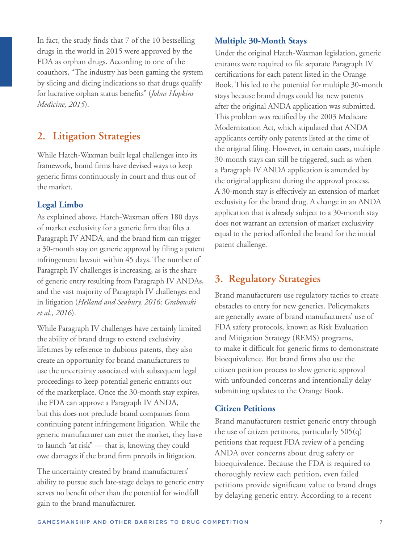In fact, the study finds that 7 of the 10 bestselling drugs in the world in 2015 were approved by the FDA as orphan drugs. According to one of the coauthors, "The industry has been gaming the system by slicing and dicing indications so that drugs qualify for lucrative orphan status benefits" (*Johns Hopkins Medicine, 2015*).

# **2. Litigation Strategies**

While Hatch-Waxman built legal challenges into its framework, brand firms have devised ways to keep generic firms continuously in court and thus out of the market.

## **Legal Limbo**

As explained above, Hatch-Waxman offers 180 days of market exclusivity for a generic firm that files a Paragraph IV ANDA, and the brand firm can trigger a 30-month stay on generic approval by filing a patent infringement lawsuit within 45 days. The number of Paragraph IV challenges is increasing, as is the share of generic entry resulting from Paragraph IV ANDAs, and the vast majority of Paragraph IV challenges end in litigation (*Helland and Seabury, 2016; Grabowski et al., 2016*).

While Paragraph IV challenges have certainly limited the ability of brand drugs to extend exclusivity lifetimes by reference to dubious patents, they also create an opportunity for brand manufacturers to use the uncertainty associated with subsequent legal proceedings to keep potential generic entrants out of the marketplace. Once the 30-month stay expires, the FDA can approve a Paragraph IV ANDA, but this does not preclude brand companies from continuing patent infringement litigation. While the generic manufacturer can enter the market, they have to launch "at risk" — that is, knowing they could owe damages if the brand firm prevails in litigation.

The uncertainty created by brand manufacturers' ability to pursue such late-stage delays to generic entry serves no benefit other than the potential for windfall gain to the brand manufacturer.

## **Multiple 30-Month Stays**

Under the original Hatch-Waxman legislation, generic entrants were required to file separate Paragraph IV certifications for each patent listed in the Orange Book. This led to the potential for multiple 30-month stays because brand drugs could list new patents after the original ANDA application was submitted. This problem was rectified by the 2003 Medicare Modernization Act, which stipulated that ANDA applicants certify only patents listed at the time of the original filing. However, in certain cases, multiple 30-month stays can still be triggered, such as when a Paragraph IV ANDA application is amended by the original applicant during the approval process. A 30-month stay is effectively an extension of market exclusivity for the brand drug. A change in an ANDA application that is already subject to a 30-month stay does not warrant an extension of market exclusivity equal to the period afforded the brand for the initial patent challenge.

# **3. Regulatory Strategies**

Brand manufacturers use regulatory tactics to create obstacles to entry for new generics. Policymakers are generally aware of brand manufacturers' use of FDA safety protocols, known as Risk Evaluation and Mitigation Strategy (REMS) programs, to make it difficult for generic firms to demonstrate bioequivalence. But brand firms also use the citizen petition process to slow generic approval with unfounded concerns and intentionally delay submitting updates to the Orange Book.

## **Citizen Petitions**

Brand manufacturers restrict generic entry through the use of citizen petitions, particularly 505(q) petitions that request FDA review of a pending ANDA over concerns about drug safety or bioequivalence. Because the FDA is required to thoroughly review each petition, even failed petitions provide significant value to brand drugs by delaying generic entry. According to a recent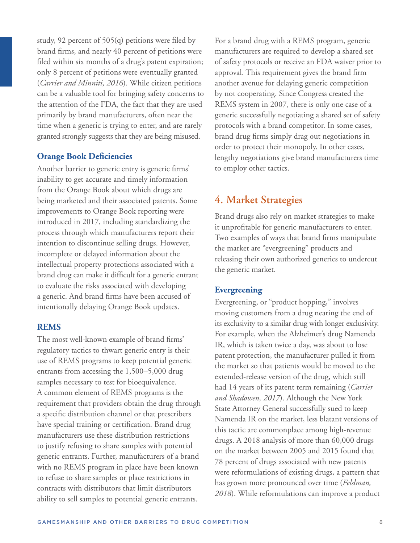study, 92 percent of 505(q) petitions were filed by brand firms, and nearly 40 percent of petitions were filed within six months of a drug's patent expiration; only 8 percent of petitions were eventually granted (*Carrier and Minniti, 2016*). While citizen petitions can be a valuable tool for bringing safety concerns to the attention of the FDA, the fact that they are used primarily by brand manufacturers, often near the time when a generic is trying to enter, and are rarely granted strongly suggests that they are being misused.

### **Orange Book Deficiencies**

Another barrier to generic entry is generic firms' inability to get accurate and timely information from the Orange Book about which drugs are being marketed and their associated patents. Some improvements to Orange Book reporting were introduced in 2017, including standardizing the process through which manufacturers report their intention to discontinue selling drugs. However, incomplete or delayed information about the intellectual property protections associated with a brand drug can make it difficult for a generic entrant to evaluate the risks associated with developing a generic. And brand firms have been accused of intentionally delaying Orange Book updates.

#### **REMS**

The most well-known example of brand firms' regulatory tactics to thwart generic entry is their use of REMS programs to keep potential generic entrants from accessing the 1,500–5,000 drug samples necessary to test for bioequivalence. A common element of REMS programs is the requirement that providers obtain the drug through a specific distribution channel or that prescribers have special training or certification. Brand drug manufacturers use these distribution restrictions to justify refusing to share samples with potential generic entrants. Further, manufacturers of a brand with no REMS program in place have been known to refuse to share samples or place restrictions in contracts with distributors that limit distributors ability to sell samples to potential generic entrants.

For a brand drug with a REMS program, generic manufacturers are required to develop a shared set of safety protocols or receive an FDA waiver prior to approval. This requirement gives the brand firm another avenue for delaying generic competition by not cooperating. Since Congress created the REMS system in 2007, there is only one case of a generic successfully negotiating a shared set of safety protocols with a brand competitor. In some cases, brand drug firms simply drag out negotiations in order to protect their monopoly. In other cases, lengthy negotiations give brand manufacturers time to employ other tactics.

## **4. Market Strategies**

Brand drugs also rely on market strategies to make it unprofitable for generic manufacturers to enter. Two examples of ways that brand firms manipulate the market are "evergreening" products and releasing their own authorized generics to undercut the generic market.

### **Evergreening**

Evergreening, or "product hopping," involves moving customers from a drug nearing the end of its exclusivity to a similar drug with longer exclusivity. For example, when the Alzheimer's drug Namenda IR, which is taken twice a day, was about to lose patent protection, the manufacturer pulled it from the market so that patients would be moved to the extended-release version of the drug, which still had 14 years of its patent term remaining (*Carrier and Shadowen, 2017*). Although the New York State Attorney General successfully sued to keep Namenda IR on the market, less blatant versions of this tactic are commonplace among high-revenue drugs. A 2018 analysis of more than 60,000 drugs on the market between 2005 and 2015 found that 78 percent of drugs associated with new patents were reformulations of existing drugs, a pattern that has grown more pronounced over time (*Feldman, 2018*). While reformulations can improve a product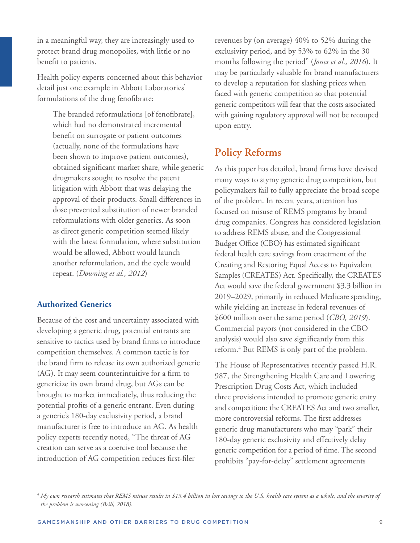in a meaningful way, they are increasingly used to protect brand drug monopolies, with little or no benefit to patients.

Health policy experts concerned about this behavior detail just one example in Abbott Laboratories' formulations of the drug fenofibrate:

 The branded reformulations [of fenofibrate], which had no demonstrated incremental benefit on surrogate or patient outcomes (actually, none of the formulations have been shown to improve patient outcomes), obtained significant market share, while generic drugmakers sought to resolve the patent litigation with Abbott that was delaying the approval of their products. Small differences in dose prevented substitution of newer branded reformulations with older generics. As soon as direct generic competition seemed likely with the latest formulation, where substitution would be allowed, Abbott would launch another reformulation, and the cycle would repeat. (*Downing et al., 2012*)

### **Authorized Generics**

Because of the cost and uncertainty associated with developing a generic drug, potential entrants are sensitive to tactics used by brand firms to introduce competition themselves. A common tactic is for the brand firm to release its own authorized generic (AG). It may seem counterintuitive for a firm to genericize its own brand drug, but AGs can be brought to market immediately, thus reducing the potential profits of a generic entrant. Even during a generic's 180-day exclusivity period, a brand manufacturer is free to introduce an AG. As health policy experts recently noted, "The threat of AG creation can serve as a coercive tool because the introduction of AG competition reduces first-filer

revenues by (on average) 40% to 52% during the exclusivity period, and by 53% to 62% in the 30 months following the period" (*Jones et al., 2016*). It may be particularly valuable for brand manufacturers to develop a reputation for slashing prices when faced with generic competition so that potential generic competitors will fear that the costs associated with gaining regulatory approval will not be recouped upon entry.

## **Policy Reforms**

As this paper has detailed, brand firms have devised many ways to stymy generic drug competition, but policymakers fail to fully appreciate the broad scope of the problem. In recent years, attention has focused on misuse of REMS programs by brand drug companies. Congress has considered legislation to address REMS abuse, and the Congressional Budget Office (CBO) has estimated significant federal health care savings from enactment of the Creating and Restoring Equal Access to Equivalent Samples (CREATES) Act. Specifically, the CREATES Act would save the federal government \$3.3 billion in 2019–2029, primarily in reduced Medicare spending, while yielding an increase in federal revenues of \$600 million over the same period (*CBO, 2019*). Commercial payors (not considered in the CBO analysis) would also save significantly from this reform.<sup>4</sup> But REMS is only part of the problem.

The House of Representatives recently passed H.R. 987, the Strengthening Health Care and Lowering Prescription Drug Costs Act, which included three provisions intended to promote generic entry and competition: the CREATES Act and two smaller, more controversial reforms. The first addresses generic drug manufacturers who may "park" their 180-day generic exclusivity and effectively delay generic competition for a period of time. The second prohibits "pay-for-delay" settlement agreements

*<sup>4</sup> My own research estimates that REMS misuse results in \$13.4 billion in lost savings to the U.S. health care system as a whole, and the severity of the problem is worsening (Brill, 2018).*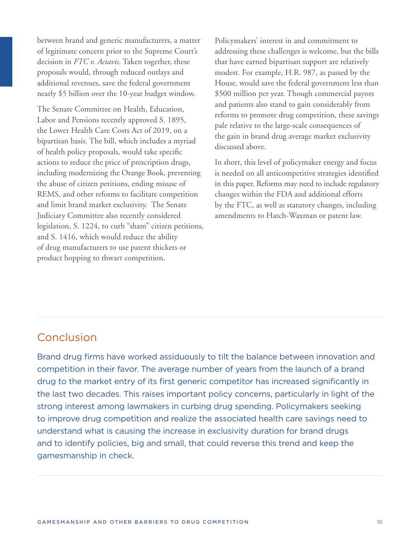between brand and generic manufacturers, a matter of legitimate concern prior to the Supreme Court's decision in *FTC v. Actavis*. Taken together, these proposals would, through reduced outlays and additional revenues, save the federal government nearly \$5 billion over the 10-year budget window.

The Senate Committee on Health, Education, Labor and Pensions recently approved S. 1895, the Lower Health Care Costs Act of 2019, on a bipartisan basis. The bill, which includes a myriad of health policy proposals, would take specific actions to reduce the price of prescription drugs, including modernizing the Orange Book, preventing the abuse of citizen petitions, ending misuse of REMS, and other reforms to facilitate competition and limit brand market exclusivity. The Senate Judiciary Committee also recently considered legislation, S. 1224, to curb "sham" citizen petitions, and S. 1416, which would reduce the ability of drug manufacturers to use patent thickets or product hopping to thwart competition.

Policymakers' interest in and commitment to addressing these challenges is welcome, but the bills that have earned bipartisan support are relatively modest. For example, H.R. 987, as passed by the House, would save the federal government less than \$500 million per year. Though commercial payors and patients also stand to gain considerably from reforms to promote drug competition, these savings pale relative to the large-scale consequences of the gain in brand drug average market exclusivity discussed above.

In short, this level of policymaker energy and focus is needed on all anticompetitive strategies identified in this paper. Reforms may need to include regulatory changes within the FDA and additional efforts by the FTC, as well as statutory changes, including amendments to Hatch-Waxman or patent law.

## Conclusion

Brand drug firms have worked assiduously to tilt the balance between innovation and competition in their favor. The average number of years from the launch of a brand drug to the market entry of its first generic competitor has increased significantly in the last two decades. This raises important policy concerns, particularly in light of the strong interest among lawmakers in curbing drug spending. Policymakers seeking to improve drug competition and realize the associated health care savings need to understand what is causing the increase in exclusivity duration for brand drugs and to identify policies, big and small, that could reverse this trend and keep the gamesmanship in check.